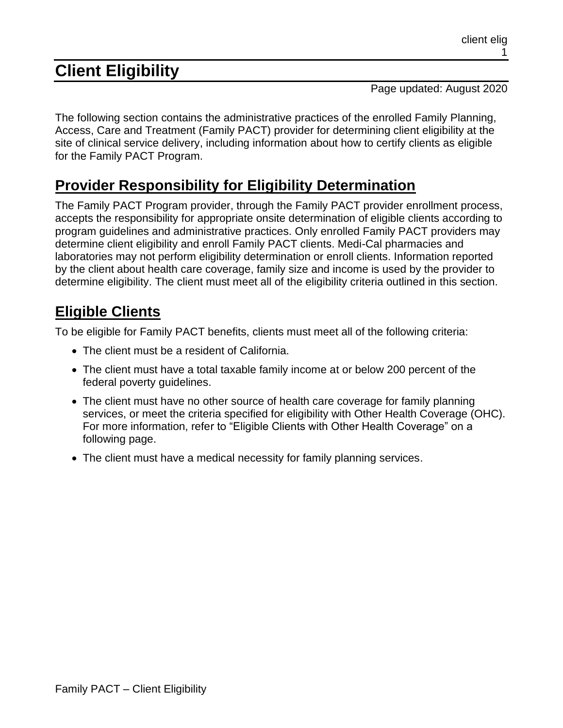# **Client Eligibility**

Page updated: August 2020

The following section contains the administrative practices of the enrolled Family Planning, Access, Care and Treatment (Family PACT) provider for determining client eligibility at the site of clinical service delivery, including information about how to certify clients as eligible for the Family PACT Program.

### **Provider Responsibility for Eligibility Determination**

The Family PACT Program provider, through the Family PACT provider enrollment process, accepts the responsibility for appropriate onsite determination of eligible clients according to program guidelines and administrative practices. Only enrolled Family PACT providers may determine client eligibility and enroll Family PACT clients. Medi-Cal pharmacies and laboratories may not perform eligibility determination or enroll clients. Information reported by the client about health care coverage, family size and income is used by the provider to determine eligibility. The client must meet all of the eligibility criteria outlined in this section.

### **Eligible Clients**

To be eligible for Family PACT benefits, clients must meet all of the following criteria:

- The client must be a resident of California.
- The client must have a total taxable family income at or below 200 percent of the federal poverty guidelines.
- The client must have no other source of health care coverage for family planning services, or meet the criteria specified for eligibility with Other Health Coverage (OHC). For more information, refer to "Eligible Clients with Other Health Coverage" on a following page.
- The client must have a medical necessity for family planning services.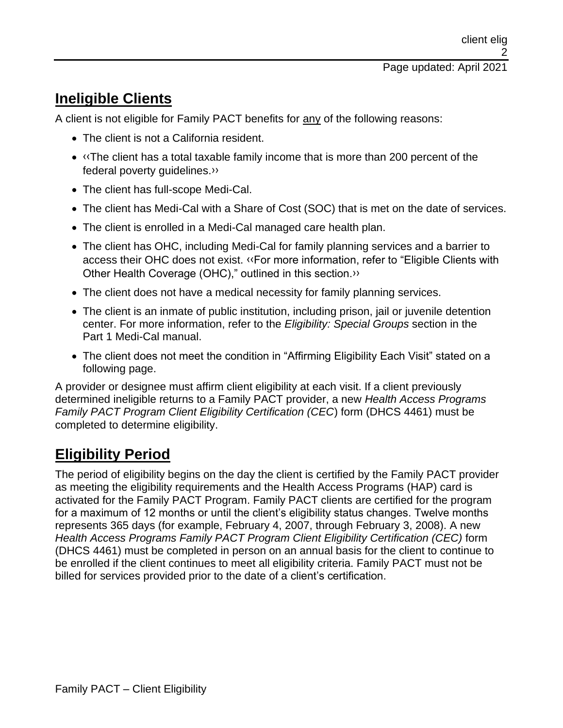### **Ineligible Clients**

A client is not eligible for Family PACT benefits for any of the following reasons:

- The client is not a California resident.
- [‹‹T](#page-18-0)he client has a total taxable family income that is more than 200 percent of the federal poverty guidelines[.››](#page-18-1)
- The client has full-scope Medi-Cal.
- The client has Medi-Cal with a Share of Cost (SOC) that is met on the date of services.
- The client is enrolled in a Medi-Cal managed care health plan.
- The client has OHC, including Medi-Cal for family planning services and a barrier to access their OHC does not exist. [‹‹F](#page-18-0)or more information, refer to "Eligible Clients with Other Health Coverage (OHC)," outlined in this section[.››](#page-18-1)
- The client does not have a medical necessity for family planning services.
- The client is an inmate of public institution, including prison, jail or juvenile detention center. For more information, refer to the *Eligibility: Special Groups* section in the Part 1 Medi-Cal manual.
- The client does not meet the condition in "Affirming Eligibility Each Visit" stated on a following page.

A provider or designee must affirm client eligibility at each visit. If a client previously determined ineligible returns to a Family PACT provider, a new *Health Access Programs Family PACT Program Client Eligibility Certification (CEC*) form (DHCS 4461) must be completed to determine eligibility.

# **Eligibility Period**

The period of eligibility begins on the day the client is certified by the Family PACT provider as meeting the eligibility requirements and the Health Access Programs (HAP) card is activated for the Family PACT Program. Family PACT clients are certified for the program for a maximum of 12 months or until the client's eligibility status changes. Twelve months represents 365 days (for example, February 4, 2007, through February 3, 2008). A new *Health Access Programs Family PACT Program Client Eligibility Certification (CEC)* form (DHCS 4461) must be completed in person on an annual basis for the client to continue to be enrolled if the client continues to meet all eligibility criteria. Family PACT must not be billed for services provided prior to the date of a client's certification.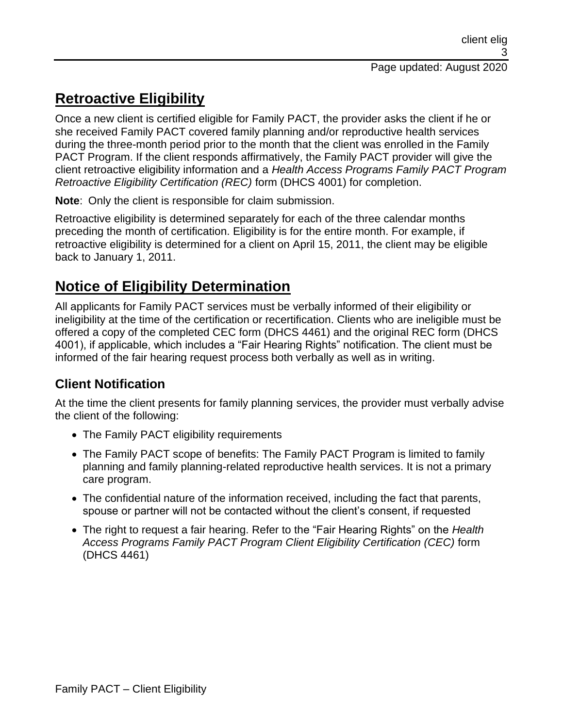# **Retroactive Eligibility**

Once a new client is certified eligible for Family PACT, the provider asks the client if he or she received Family PACT covered family planning and/or reproductive health services during the three-month period prior to the month that the client was enrolled in the Family PACT Program. If the client responds affirmatively, the Family PACT provider will give the client retroactive eligibility information and a *Health Access Programs Family PACT Program Retroactive Eligibility Certification (REC)* form (DHCS 4001) for completion.

**Note**: Only the client is responsible for claim submission.

Retroactive eligibility is determined separately for each of the three calendar months preceding the month of certification. Eligibility is for the entire month. For example, if retroactive eligibility is determined for a client on April 15, 2011, the client may be eligible back to January 1, 2011.

## **Notice of Eligibility Determination**

All applicants for Family PACT services must be verbally informed of their eligibility or ineligibility at the time of the certification or recertification. Clients who are ineligible must be offered a copy of the completed CEC form (DHCS 4461) and the original REC form (DHCS 4001), if applicable, which includes a "Fair Hearing Rights" notification. The client must be informed of the fair hearing request process both verbally as well as in writing.

#### **Client Notification**

At the time the client presents for family planning services, the provider must verbally advise the client of the following:

- The Family PACT eligibility requirements
- The Family PACT scope of benefits: The Family PACT Program is limited to family planning and family planning-related reproductive health services. It is not a primary care program.
- The confidential nature of the information received, including the fact that parents, spouse or partner will not be contacted without the client's consent, if requested
- The right to request a fair hearing. Refer to the "Fair Hearing Rights" on the *Health Access Programs Family PACT Program Client Eligibility Certification (CEC)* form (DHCS 4461)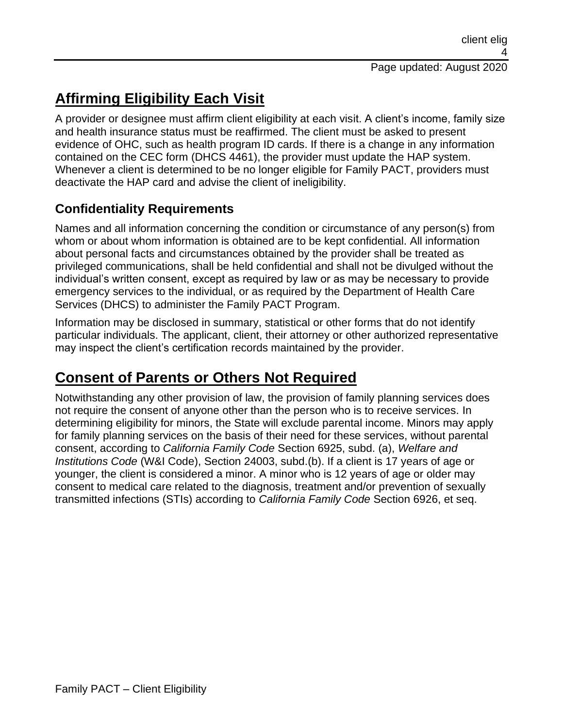# **Affirming Eligibility Each Visit**

A provider or designee must affirm client eligibility at each visit. A client's income, family size and health insurance status must be reaffirmed. The client must be asked to present evidence of OHC, such as health program ID cards. If there is a change in any information contained on the CEC form (DHCS 4461), the provider must update the HAP system. Whenever a client is determined to be no longer eligible for Family PACT, providers must deactivate the HAP card and advise the client of ineligibility.

#### **Confidentiality Requirements**

Names and all information concerning the condition or circumstance of any person(s) from whom or about whom information is obtained are to be kept confidential. All information about personal facts and circumstances obtained by the provider shall be treated as privileged communications, shall be held confidential and shall not be divulged without the individual's written consent, except as required by law or as may be necessary to provide emergency services to the individual, or as required by the Department of Health Care Services (DHCS) to administer the Family PACT Program.

Information may be disclosed in summary, statistical or other forms that do not identify particular individuals. The applicant, client, their attorney or other authorized representative may inspect the client's certification records maintained by the provider.

## **Consent of Parents or Others Not Required**

Notwithstanding any other provision of law, the provision of family planning services does not require the consent of anyone other than the person who is to receive services. In determining eligibility for minors, the State will exclude parental income. Minors may apply for family planning services on the basis of their need for these services, without parental consent, according to *California Family Code* Section 6925, subd. (a), *Welfare and Institutions Code* (W&I Code), Section 24003, subd.(b). If a client is 17 years of age or younger, the client is considered a minor. A minor who is 12 years of age or older may consent to medical care related to the diagnosis, treatment and/or prevention of sexually transmitted infections (STIs) according to *California Family Code* Section 6926, et seq.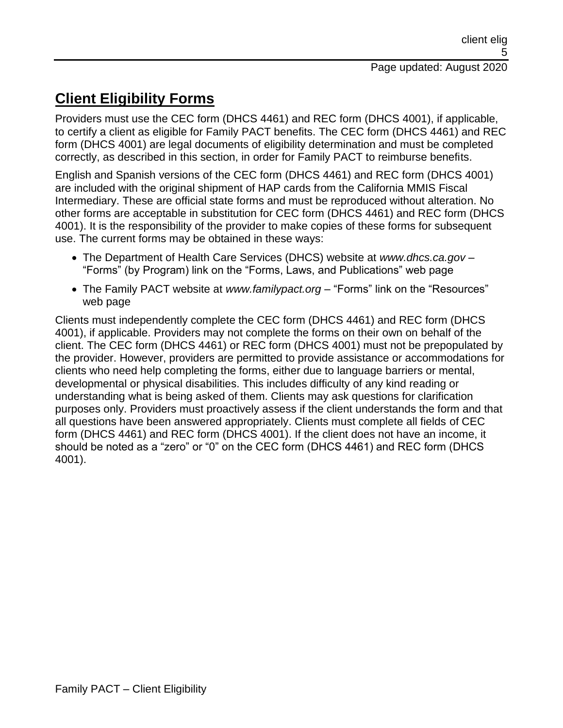# **Client Eligibility Forms**

Providers must use the CEC form (DHCS 4461) and REC form (DHCS 4001), if applicable, to certify a client as eligible for Family PACT benefits. The CEC form (DHCS 4461) and REC form (DHCS 4001) are legal documents of eligibility determination and must be completed correctly, as described in this section, in order for Family PACT to reimburse benefits.

English and Spanish versions of the CEC form (DHCS 4461) and REC form (DHCS 4001) are included with the original shipment of HAP cards from the California MMIS Fiscal Intermediary. These are official state forms and must be reproduced without alteration. No other forms are acceptable in substitution for CEC form (DHCS 4461) and REC form (DHCS 4001). It is the responsibility of the provider to make copies of these forms for subsequent use. The current forms may be obtained in these ways:

- The Department of Health Care Services (DHCS) website at *www.dhcs.ca.gov* "Forms" (by Program) link on the "Forms, Laws, and Publications" web page
- The Family PACT website at *www.familypact.org* "Forms" link on the "Resources" web page

Clients must independently complete the CEC form (DHCS 4461) and REC form (DHCS 4001), if applicable. Providers may not complete the forms on their own on behalf of the client. The CEC form (DHCS 4461) or REC form (DHCS 4001) must not be prepopulated by the provider. However, providers are permitted to provide assistance or accommodations for clients who need help completing the forms, either due to language barriers or mental, developmental or physical disabilities. This includes difficulty of any kind reading or understanding what is being asked of them. Clients may ask questions for clarification purposes only. Providers must proactively assess if the client understands the form and that all questions have been answered appropriately. Clients must complete all fields of CEC form (DHCS 4461) and REC form (DHCS 4001). If the client does not have an income, it should be noted as a "zero" or "0" on the CEC form (DHCS 4461) and REC form (DHCS 4001).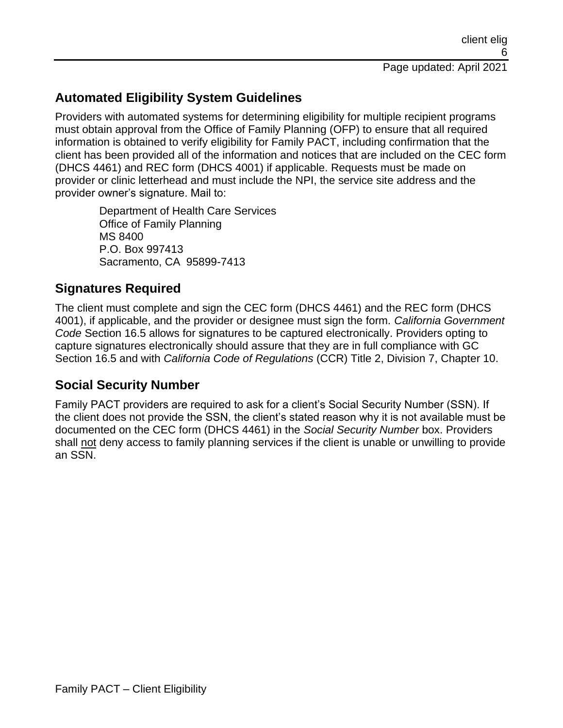#### **Automated Eligibility System Guidelines**

Providers with automated systems for determining eligibility for multiple recipient programs must obtain approval from the Office of Family Planning (OFP) to ensure that all required information is obtained to verify eligibility for Family PACT, including confirmation that the client has been provided all of the information and notices that are included on the CEC form (DHCS 4461) and REC form (DHCS 4001) if applicable. Requests must be made on provider or clinic letterhead and must include the NPI, the service site address and the provider owner's signature. Mail to:

Department of Health Care Services Office of Family Planning MS 8400 P.O. Box 997413 Sacramento, CA 95899-7413

#### **Signatures Required**

The client must complete and sign the CEC form (DHCS 4461) and the REC form (DHCS 4001), if applicable, and the provider or designee must sign the form. *California Government Code* Section 16.5 allows for signatures to be captured electronically. Providers opting to capture signatures electronically should assure that they are in full compliance with GC Section 16.5 and with *California Code of Regulations* (CCR) Title 2, Division 7, Chapter 10.

#### **Social Security Number**

Family PACT providers are required to ask for a client's Social Security Number (SSN). If the client does not provide the SSN, the client's stated reason why it is not available must be documented on the CEC form (DHCS 4461) in the *Social Security Number* box. Providers shall not deny access to family planning services if the client is unable or unwilling to provide an SSN.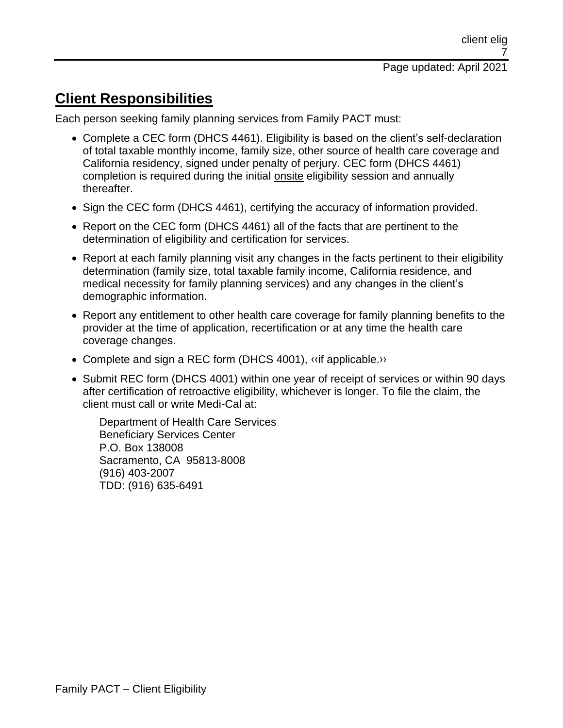### **Client Responsibilities**

Each person seeking family planning services from Family PACT must:

- Complete a CEC form (DHCS 4461). Eligibility is based on the client's self-declaration of total taxable monthly income, family size, other source of health care coverage and California residency, signed under penalty of perjury. CEC form (DHCS 4461) completion is required during the initial onsite eligibility session and annually thereafter.
- Sign the CEC form (DHCS 4461), certifying the accuracy of information provided.
- Report on the CEC form (DHCS 4461) all of the facts that are pertinent to the determination of eligibility and certification for services.
- Report at each family planning visit any changes in the facts pertinent to their eligibility determination (family size, total taxable family income, California residence, and medical necessity for family planning services) and any changes in the client's demographic information.
- Report any entitlement to other health care coverage for family planning benefits to the provider at the time of application, recertification or at any time the health care coverage changes.
- Complete and sign a REC form (DHCS 4001), «if applicable.»
- Submit REC form (DHCS 4001) within one year of receipt of services or within 90 days after certification of retroactive eligibility, whichever is longer. To file the claim, the client must call or write Medi-Cal at:

Department of Health Care Services Beneficiary Services Center P.O. Box 138008 Sacramento, CA 95813-8008 (916) 403-2007 TDD: (916) 635-6491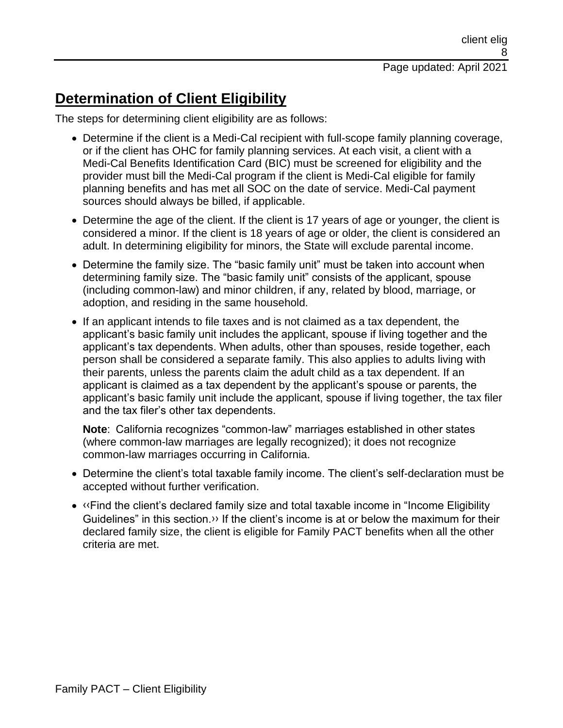## **Determination of Client Eligibility**

The steps for determining client eligibility are as follows:

- Determine if the client is a Medi-Cal recipient with full-scope family planning coverage, or if the client has OHC for family planning services. At each visit, a client with a Medi-Cal Benefits Identification Card (BIC) must be screened for eligibility and the provider must bill the Medi-Cal program if the client is Medi-Cal eligible for family planning benefits and has met all SOC on the date of service. Medi-Cal payment sources should always be billed, if applicable.
- Determine the age of the client. If the client is 17 years of age or younger, the client is considered a minor. If the client is 18 years of age or older, the client is considered an adult. In determining eligibility for minors, the State will exclude parental income.
- Determine the family size. The "basic family unit" must be taken into account when determining family size. The "basic family unit" consists of the applicant, spouse (including common-law) and minor children, if any, related by blood, marriage, or adoption, and residing in the same household.
- If an applicant intends to file taxes and is not claimed as a tax dependent, the applicant's basic family unit includes the applicant, spouse if living together and the applicant's tax dependents. When adults, other than spouses, reside together, each person shall be considered a separate family. This also applies to adults living with their parents, unless the parents claim the adult child as a tax dependent. If an applicant is claimed as a tax dependent by the applicant's spouse or parents, the applicant's basic family unit include the applicant, spouse if living together, the tax filer and the tax filer's other tax dependents.

**Note**: California recognizes "common-law" marriages established in other states (where common-law marriages are legally recognized); it does not recognize common-law marriages occurring in California.

- Determine the client's total taxable family income. The client's self-declaration must be accepted without further verification.
- [‹‹F](#page-18-0)ind the client's declared family size and total taxable income in "Income Eligibility Guidelines" in this section[.››](#page-18-1) If the client's income is at or below the maximum for their declared family size, the client is eligible for Family PACT benefits when all the other criteria are met.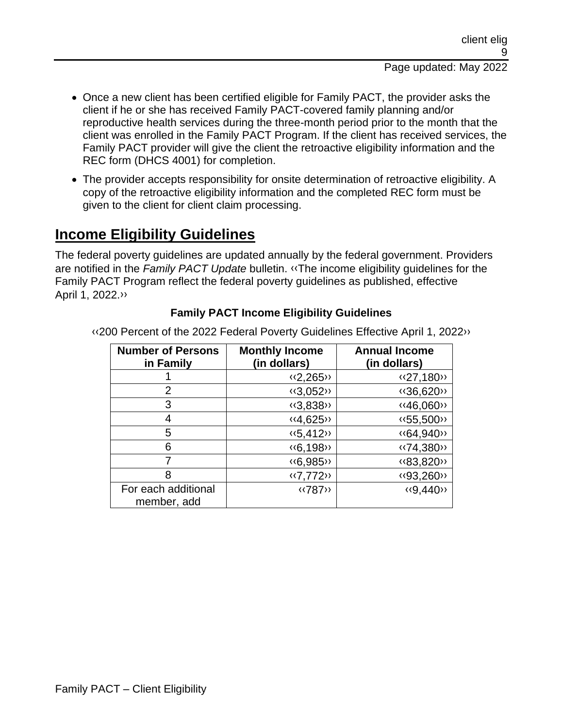- Once a new client has been certified eligible for Family PACT, the provider asks the client if he or she has received Family PACT-covered family planning and/or reproductive health services during the three-month period prior to the month that the client was enrolled in the Family PACT Program. If the client has received services, the Family PACT provider will give the client the retroactive eligibility information and the REC form (DHCS 4001) for completion.
- The provider accepts responsibility for onsite determination of retroactive eligibility. A copy of the retroactive eligibility information and the completed REC form must be given to the client for client claim processing.

### **Income Eligibility Guidelines**

The federal poverty guidelines are updated annually by the federal government. Providers are notified in the *Family PACT Update* bulletin. [‹‹T](#page-18-0)he income eligibility guidelines for the Family PACT Program reflect the federal poverty guidelines as published, effective April 1, 2022[.››](#page-18-1)

#### **Family PACT Income Eligibility Guidelines**

[‹‹2](#page-18-0)00 Percent of the 2022 Federal Poverty Guidelines Effective April 1, 202[2››](#page-18-1)

| <b>Number of Persons</b><br>in Family | <b>Monthly Income</b><br>(in dollars) | <b>Annual Income</b><br>(in dollars) |
|---------------------------------------|---------------------------------------|--------------------------------------|
|                                       | $\langle 2, 265 \rangle$              | <<27,180>>                           |
| 2                                     | $\langle 3,052 \rangle$               | «36,620»                             |
| 3                                     | $\langle 3,838 \rangle$               | <<46,060>>                           |
| 4                                     | $\langle 4, 625 \rangle$              | << 55,500 >>                         |
| 5                                     | $\langle 5, 412 \rangle$              | <<64,940>>                           |
| 6                                     | $\langle 6, 198 \rangle$              | «74,380»                             |
| 7                                     | <<6,985>>                             | «83,820»                             |
| 8                                     | $\langle 7,772 \rangle$               | «93,260»                             |
| For each additional                   | <b>«787»</b>                          | $\langle 9,440 \rangle$              |
| member, add                           |                                       |                                      |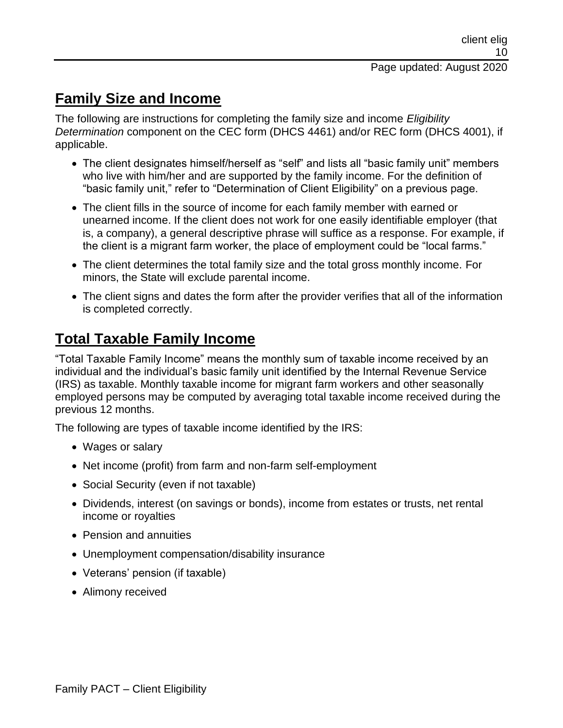### **Family Size and Income**

The following are instructions for completing the family size and income *Eligibility Determination* component on the CEC form (DHCS 4461) and/or REC form (DHCS 4001), if applicable.

- The client designates himself/herself as "self" and lists all "basic family unit" members who live with him/her and are supported by the family income. For the definition of "basic family unit," refer to "Determination of Client Eligibility" on a previous page.
- The client fills in the source of income for each family member with earned or unearned income. If the client does not work for one easily identifiable employer (that is, a company), a general descriptive phrase will suffice as a response. For example, if the client is a migrant farm worker, the place of employment could be "local farms."
- The client determines the total family size and the total gross monthly income. For minors, the State will exclude parental income.
- The client signs and dates the form after the provider verifies that all of the information is completed correctly.

## **Total Taxable Family Income**

"Total Taxable Family Income" means the monthly sum of taxable income received by an individual and the individual's basic family unit identified by the Internal Revenue Service (IRS) as taxable. Monthly taxable income for migrant farm workers and other seasonally employed persons may be computed by averaging total taxable income received during the previous 12 months.

The following are types of taxable income identified by the IRS:

- Wages or salary
- Net income (profit) from farm and non-farm self-employment
- Social Security (even if not taxable)
- Dividends, interest (on savings or bonds), income from estates or trusts, net rental income or royalties
- Pension and annuities
- Unemployment compensation/disability insurance
- Veterans' pension (if taxable)
- Alimony received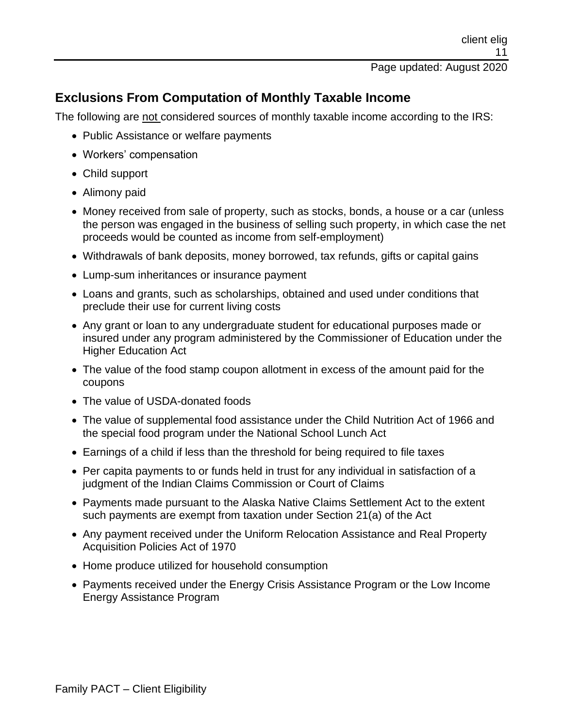#### **Exclusions From Computation of Monthly Taxable Income**

The following are not considered sources of monthly taxable income according to the IRS:

- Public Assistance or welfare payments
- Workers' compensation
- Child support
- Alimony paid
- Money received from sale of property, such as stocks, bonds, a house or a car (unless the person was engaged in the business of selling such property, in which case the net proceeds would be counted as income from self-employment)
- Withdrawals of bank deposits, money borrowed, tax refunds, gifts or capital gains
- Lump-sum inheritances or insurance payment
- Loans and grants, such as scholarships, obtained and used under conditions that preclude their use for current living costs
- Any grant or loan to any undergraduate student for educational purposes made or insured under any program administered by the Commissioner of Education under the Higher Education Act
- The value of the food stamp coupon allotment in excess of the amount paid for the coupons
- The value of USDA-donated foods
- The value of supplemental food assistance under the Child Nutrition Act of 1966 and the special food program under the National School Lunch Act
- Earnings of a child if less than the threshold for being required to file taxes
- Per capita payments to or funds held in trust for any individual in satisfaction of a judgment of the Indian Claims Commission or Court of Claims
- Payments made pursuant to the Alaska Native Claims Settlement Act to the extent such payments are exempt from taxation under Section 21(a) of the Act
- Any payment received under the Uniform Relocation Assistance and Real Property Acquisition Policies Act of 1970
- Home produce utilized for household consumption
- Payments received under the Energy Crisis Assistance Program or the Low Income Energy Assistance Program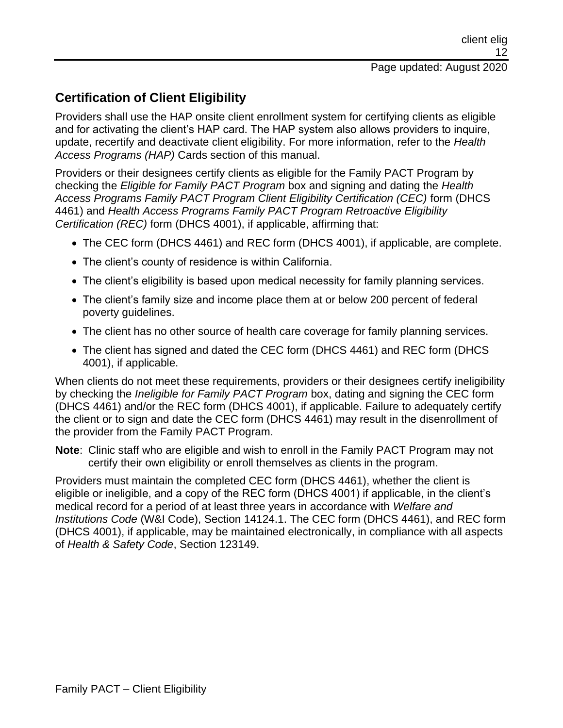#### **Certification of Client Eligibility**

Providers shall use the HAP onsite client enrollment system for certifying clients as eligible and for activating the client's HAP card. The HAP system also allows providers to inquire, update, recertify and deactivate client eligibility. For more information, refer to the *Health Access Programs (HAP)* Cards section of this manual.

Providers or their designees certify clients as eligible for the Family PACT Program by checking the *Eligible for Family PACT Program* box and signing and dating the *Health Access Programs Family PACT Program Client Eligibility Certification (CEC)* form (DHCS 4461) and *Health Access Programs Family PACT Program Retroactive Eligibility Certification (REC)* form (DHCS 4001), if applicable, affirming that:

- The CEC form (DHCS 4461) and REC form (DHCS 4001), if applicable, are complete.
- The client's county of residence is within California.
- The client's eligibility is based upon medical necessity for family planning services.
- The client's family size and income place them at or below 200 percent of federal poverty guidelines.
- The client has no other source of health care coverage for family planning services.
- The client has signed and dated the CEC form (DHCS 4461) and REC form (DHCS 4001), if applicable.

When clients do not meet these requirements, providers or their designees certify ineligibility by checking the *Ineligible for Family PACT Program* box, dating and signing the CEC form (DHCS 4461) and/or the REC form (DHCS 4001), if applicable. Failure to adequately certify the client or to sign and date the CEC form (DHCS 4461) may result in the disenrollment of the provider from the Family PACT Program.

**Note**: Clinic staff who are eligible and wish to enroll in the Family PACT Program may not certify their own eligibility or enroll themselves as clients in the program.

Providers must maintain the completed CEC form (DHCS 4461), whether the client is eligible or ineligible, and a copy of the REC form (DHCS 4001) if applicable, in the client's medical record for a period of at least three years in accordance with *Welfare and Institutions Code* (W&I Code), Section 14124.1. The CEC form (DHCS 4461), and REC form (DHCS 4001), if applicable, may be maintained electronically, in compliance with all aspects of *Health & Safety Code*, Section 123149.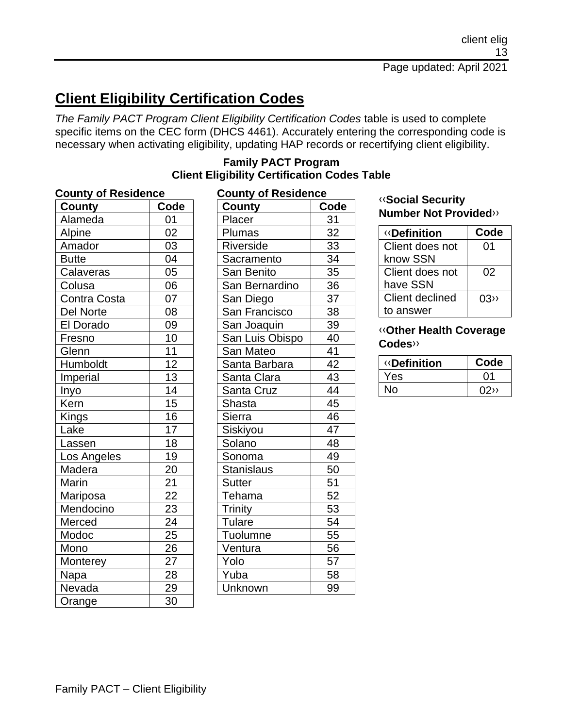# **Client Eligibility Certification Codes**

*The Family PACT Program Client Eligibility Certification Codes* table is used to complete specific items on the CEC form (DHCS 4461). Accurately entering the corresponding code is necessary when activating eligibility, updating HAP records or recertifying client eligibility.

| <b>County</b>    | Code            |
|------------------|-----------------|
| Alameda          | 01              |
| Alpine           | 02              |
| Amador           | 03              |
| <b>Butte</b>     | 04              |
| Calaveras        | $\overline{05}$ |
| Colusa           | 06              |
| Contra Costa     | 07              |
| <b>Del Norte</b> | 08              |
| El Dorado        | 09              |
| Fresno           | 10              |
| Glenn            | $\overline{11}$ |
| Humboldt         | $\overline{12}$ |
| Imperial         | $\overline{13}$ |
| Inyo             | $\overline{14}$ |
| Kern             | $\overline{15}$ |
| Kings            | $\overline{16}$ |
| Lake             | $\overline{17}$ |
| Lass <u>en</u>   | $\overline{18}$ |
| Los Angeles      | $\overline{19}$ |
| Madera           | 20              |
| Marin            | $\overline{21}$ |
| <u>Mariposa</u>  | $\overline{22}$ |
| Mendocino        | 23              |
| Merced           | $\overline{24}$ |
| Modoc            | 25              |
| Mono             | 26              |
| <b>Monterey</b>  | $\overline{27}$ |
| Napa             | 28              |
| Nevada           | 29              |
| Orange           | 30              |

#### **Family PACT Program Client Eligibility Certification Codes Table**

| <b>County of Residence</b> |                 |  |
|----------------------------|-----------------|--|
| County                     | Code            |  |
| Placer                     | 31              |  |
| Plumas                     | $\frac{32}{2}$  |  |
| Riverside                  | 33              |  |
| Sacramento                 | 34              |  |
| San Benito                 | $\overline{35}$ |  |
| San Bernardino             | 36              |  |
| San Diego                  | 37              |  |
| San Francisco              | 38              |  |
| San Joaquin                | 39              |  |
| San Luis Obispo            | 40              |  |
| San Mateo                  | 41              |  |
| Santa Barbara              | 42              |  |
| Santa Clara                | 43              |  |
| Santa Cruz                 | 44              |  |
| <b>Shasta</b>              | 45              |  |
| Sierra                     | 46              |  |
| Siskiyou                   | 47              |  |
| Solano                     | 48              |  |
| Sonoma                     | 49              |  |
| <b>Stanislaus</b>          | 50              |  |
| <b>Sutter</b>              | 51              |  |
| Tehama                     | $\overline{52}$ |  |
| Trinity                    | 53              |  |
| Tulare                     | 54              |  |
| Tuolumne                   | 55              |  |
| Ventura                    | 56              |  |
| Yolo                       | $\overline{57}$ |  |
| Yuba                       | 58              |  |
| <u>Unknown</u>             | 99              |  |

#### [‹‹](#page-18-0)**Social Security Number Not Provided**[››](#page-18-1)

| <b>«Definition</b> | Code |
|--------------------|------|
| Client does not    | 01   |
| know SSN           |      |
| Client does not    | 02   |
| have SSN           |      |
| Client declined    | 03   |
| to answer          |      |

#### [‹‹](#page-18-0)**Other Health Coverage Codes**[››](#page-18-1)

| <b>«Definition</b> | Code |
|--------------------|------|
| Yes                | በ1   |
| N٥                 | 02   |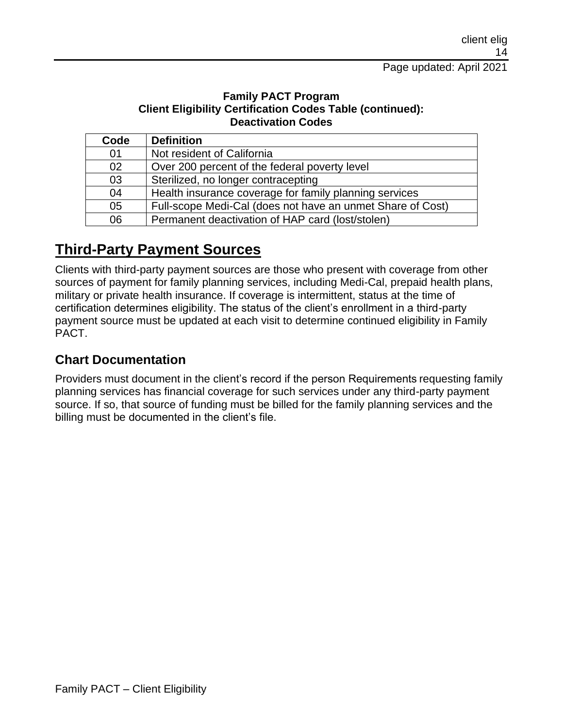#### **Family PACT Program Client Eligibility Certification Codes Table (continued): Deactivation Codes**

| Code | <b>Definition</b>                                          |
|------|------------------------------------------------------------|
| 01   | Not resident of California                                 |
| 02   | Over 200 percent of the federal poverty level              |
| 03   | Sterilized, no longer contracepting                        |
| 04   | Health insurance coverage for family planning services     |
| 05   | Full-scope Medi-Cal (does not have an unmet Share of Cost) |
| 06   | Permanent deactivation of HAP card (lost/stolen)           |

## **Third-Party Payment Sources**

Clients with third-party payment sources are those who present with coverage from other sources of payment for family planning services, including Medi-Cal, prepaid health plans, military or private health insurance. If coverage is intermittent, status at the time of certification determines eligibility. The status of the client's enrollment in a third-party payment source must be updated at each visit to determine continued eligibility in Family PACT.

#### **Chart Documentation**

Providers must document in the client's record if the person Requirements requesting family planning services has financial coverage for such services under any third-party payment source. If so, that source of funding must be billed for the family planning services and the billing must be documented in the client's file.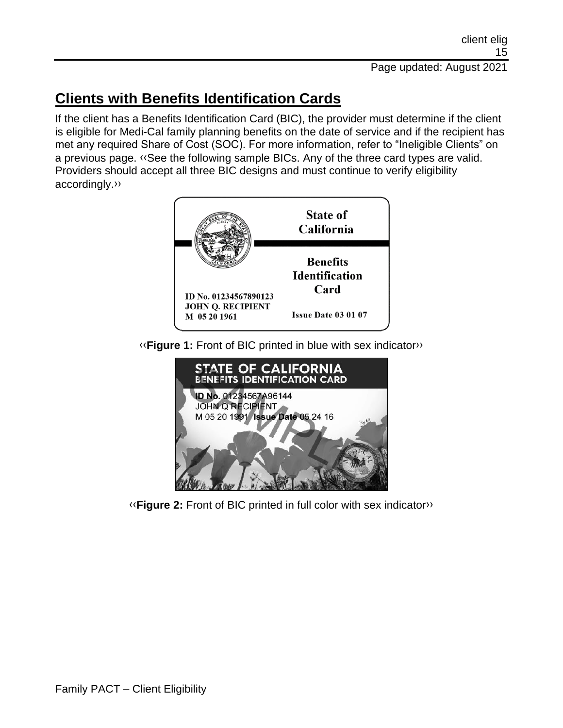# **Clients with Benefits Identification Cards**

If the client has a Benefits Identification Card (BIC), the provider must determine if the client is eligible for Medi-Cal family planning benefits on the date of service and if the recipient has met any required Share of Cost (SOC). For more information, refer to "Ineligible Clients" on a previous page. [‹‹S](#page-18-0)ee the following sample BICs. Any of the three card types are valid. Providers should accept all three BIC designs and must continue to verify eligibility accordingly[.››](#page-18-1)



[‹‹](#page-18-0)**Figure 1:** Front of BIC printed in blue with sex indicato[r››](#page-18-1)



[‹‹](#page-18-0)**Figure 2:** Front of BIC printed in full color with sex indicato[r››](#page-18-1)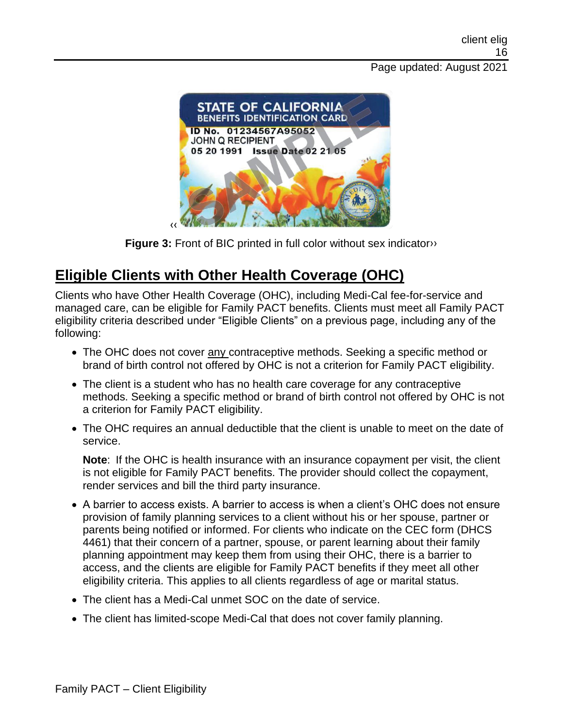#### Page updated: August 2021



**Figure 3:** Front of BIC printed in full color without sex indicator<sup>3</sup>

## **Eligible Clients with Other Health Coverage (OHC)**

Clients who have Other Health Coverage (OHC), including Medi-Cal fee-for-service and managed care, can be eligible for Family PACT benefits. Clients must meet all Family PACT eligibility criteria described under "Eligible Clients" on a previous page, including any of the following:

- The OHC does not cover any contraceptive methods. Seeking a specific method or brand of birth control not offered by OHC is not a criterion for Family PACT eligibility.
- The client is a student who has no health care coverage for any contraceptive methods. Seeking a specific method or brand of birth control not offered by OHC is not a criterion for Family PACT eligibility.
- The OHC requires an annual deductible that the client is unable to meet on the date of service.

**Note**: If the OHC is health insurance with an insurance copayment per visit, the client is not eligible for Family PACT benefits. The provider should collect the copayment, render services and bill the third party insurance.

- A barrier to access exists. A barrier to access is when a client's OHC does not ensure provision of family planning services to a client without his or her spouse, partner or parents being notified or informed. For clients who indicate on the CEC form (DHCS 4461) that their concern of a partner, spouse, or parent learning about their family planning appointment may keep them from using their OHC, there is a barrier to access, and the clients are eligible for Family PACT benefits if they meet all other eligibility criteria. This applies to all clients regardless of age or marital status.
- The client has a Medi-Cal unmet SOC on the date of service.
- The client has limited-scope Medi-Cal that does not cover family planning.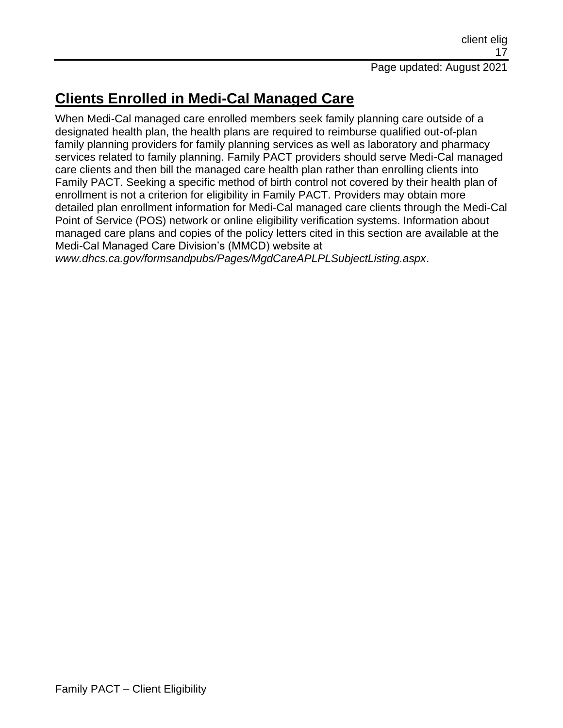## **Clients Enrolled in Medi-Cal Managed Care**

When Medi-Cal managed care enrolled members seek family planning care outside of a designated health plan, the health plans are required to reimburse qualified out-of-plan family planning providers for family planning services as well as laboratory and pharmacy services related to family planning. Family PACT providers should serve Medi-Cal managed care clients and then bill the managed care health plan rather than enrolling clients into Family PACT. Seeking a specific method of birth control not covered by their health plan of enrollment is not a criterion for eligibility in Family PACT. Providers may obtain more detailed plan enrollment information for Medi-Cal managed care clients through the Medi-Cal Point of Service (POS) network or online eligibility verification systems. Information about managed care plans and copies of the policy letters cited in this section are available at the Medi-Cal Managed Care Division's (MMCD) website at

*www.dhcs.ca.gov/formsandpubs/Pages/MgdCareAPLPLSubjectListing.aspx*.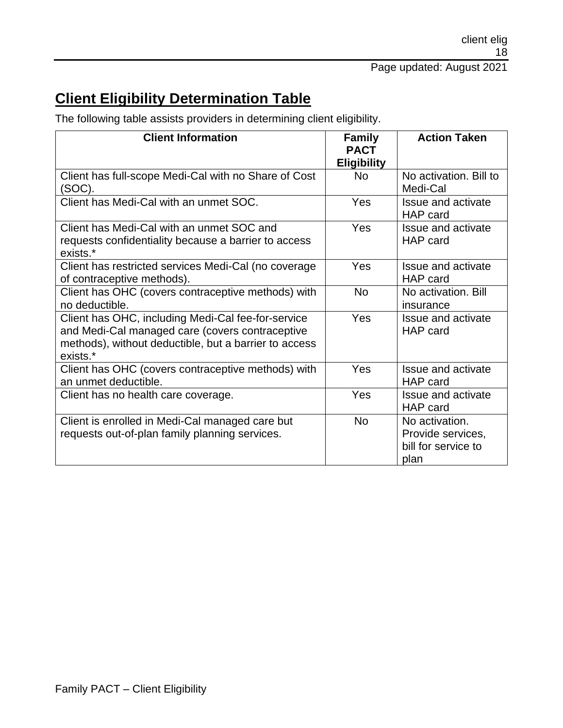## **Client Eligibility Determination Table**

The following table assists providers in determining client eligibility.

| <b>Client Information</b>                                                                                                                                                  | <b>Family</b><br><b>PACT</b><br><b>Eligibility</b> | <b>Action Taken</b>                                                |
|----------------------------------------------------------------------------------------------------------------------------------------------------------------------------|----------------------------------------------------|--------------------------------------------------------------------|
| Client has full-scope Medi-Cal with no Share of Cost<br>(SOC).                                                                                                             | <b>No</b>                                          | No activation. Bill to<br>Medi-Cal                                 |
| Client has Medi-Cal with an unmet SOC.                                                                                                                                     | <b>Yes</b>                                         | Issue and activate<br>HAP card                                     |
| Client has Medi-Cal with an unmet SOC and<br>requests confidentiality because a barrier to access<br>exists.*                                                              | Yes                                                | Issue and activate<br>HAP card                                     |
| Client has restricted services Medi-Cal (no coverage<br>of contraceptive methods).                                                                                         | Yes                                                | Issue and activate<br>HAP card                                     |
| Client has OHC (covers contraceptive methods) with<br>no deductible.                                                                                                       | <b>No</b>                                          | No activation. Bill<br>insurance                                   |
| Client has OHC, including Medi-Cal fee-for-service<br>and Medi-Cal managed care (covers contraceptive<br>methods), without deductible, but a barrier to access<br>exists.* | <b>Yes</b>                                         | <b>Issue and activate</b><br>HAP card                              |
| Client has OHC (covers contraceptive methods) with<br>an unmet deductible.                                                                                                 | Yes                                                | Issue and activate<br>HAP card                                     |
| Client has no health care coverage.                                                                                                                                        | Yes                                                | Issue and activate<br>HAP card                                     |
| Client is enrolled in Medi-Cal managed care but<br>requests out-of-plan family planning services.                                                                          | <b>No</b>                                          | No activation.<br>Provide services,<br>bill for service to<br>plan |